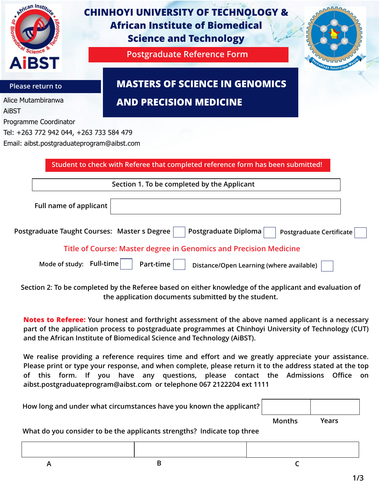| e African Instit                                                                                               | <b>CHINHOYI UNIVERSITY OF TECHNOLOGY &amp;</b><br><b>African Institute of Biomedical</b><br><b>Science and Technology</b> |
|----------------------------------------------------------------------------------------------------------------|---------------------------------------------------------------------------------------------------------------------------|
| <b>AiBST</b>                                                                                                   | <b>Postgraduate Reference Form</b>                                                                                        |
| Please return to                                                                                               | <b>MASTERS OF SCIENCE IN GENOMICS</b>                                                                                     |
| Alice Mutambiranwa<br>AiBST                                                                                    | <b>AND PRECISION MEDICINE</b>                                                                                             |
| Programme Coordinator<br>Tel: +263 772 942 044, +263 733 584 479<br>Email: aibst.postgraduateprogram@aibst.com | Student to check with Referee that completed reference form has been submitted!                                           |
|                                                                                                                | Section 1. To be completed by the Applicant                                                                               |
| Full name of applicant                                                                                         |                                                                                                                           |
|                                                                                                                | Postgraduate Taught Courses: Master s Degree<br>Postgraduate Diploma<br><b>Postgraduate Certificate</b>                   |
|                                                                                                                | Title of Course: Master degree in Genomics and Precision Medicine                                                         |
|                                                                                                                | Mode of study: Full-time<br>Part-time<br>Distance/Open Learning (where available)                                         |
|                                                                                                                | sation 9: To be experiented by the Defense besed on either lines uladers of the condicent such a valueties                |

**Section 2: To be completed by the Referee based on either knowledge of the applicant and evaluation of the application documents submitted by the student.**

**Notes to Referee: Your honest and forthright assessment of the above named applicant is a necessary part of the application process to postgraduate programmes at Chinhoyi University of Technology (CUT) and the African Institute of Biomedical Science and Technology (AiBST).** 

**We realise providing a reference requires time and effort and we greatly appreciate your assistance. Please print or type your response, and when complete, please return it to the address stated at the top of this form. If you have any questions, please contact the Admissions Office on aibst.postgraduateprogram@aibst.com or telephone 067 2122204 ext 1111**

| How long and under what circumstances have you known the applicant? |               |       |  |
|---------------------------------------------------------------------|---------------|-------|--|
|                                                                     | <b>Months</b> | Years |  |

**What do you consider to be the applicants strengths? Indicate top three**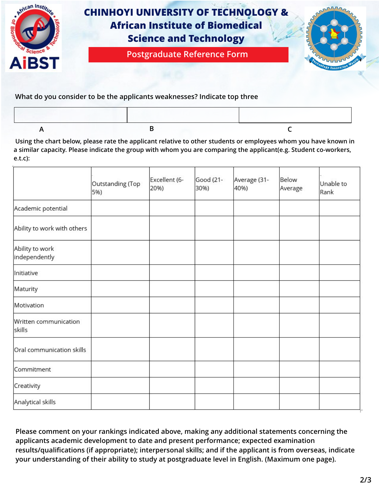

**What do you consider to be the applicants weaknesses? Indicate top three**

 **Using the chart below, please rate the applicant relative to other students or employees whom you have known in a similar capacity. Please indicate the group with whom you are comparing the applicant(e.g. Student co-workers, e.t.c):** 

|                                  | Outstanding (Top<br>5%) | Excellent (6-<br>20%) | Good (21-<br>30%) | Average (31-<br>40%) | Below<br>Average | Unable to<br>Rank |
|----------------------------------|-------------------------|-----------------------|-------------------|----------------------|------------------|-------------------|
| Academic potential               |                         |                       |                   |                      |                  |                   |
| Ability to work with others      |                         |                       |                   |                      |                  |                   |
| Ability to work<br>independently |                         |                       |                   |                      |                  |                   |
| Initiative                       |                         |                       |                   |                      |                  |                   |
| Maturity                         |                         |                       |                   |                      |                  |                   |
| Motivation                       |                         |                       |                   |                      |                  |                   |
| Written communication<br>skills  |                         |                       |                   |                      |                  |                   |
| Oral communication skills        |                         |                       |                   |                      |                  |                   |
| Commitment                       |                         |                       |                   |                      |                  |                   |
| Creativity                       |                         |                       |                   |                      |                  |                   |
| Analytical skills                |                         |                       |                   |                      |                  |                   |

**Please comment on your rankings indicated above, making any additional statements concerning the applicants academic development to date and present performance; expected examination results/qualifications (if appropriate); interpersonal skills; and if the applicant is from overseas, indicate your understanding of their ability to study at postgraduate level in English. (Maximum one page).**